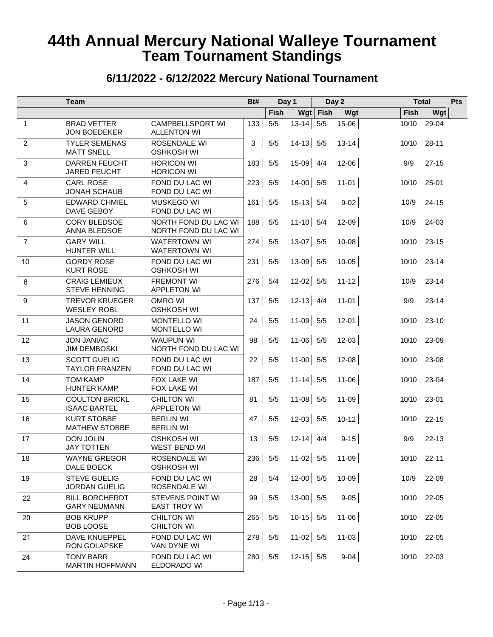|                | <b>Team</b>                                  |                                               | Bt#       |                                     | Day 1                         |            | Day 2     |                |             | <b>Total</b>  | Pts |
|----------------|----------------------------------------------|-----------------------------------------------|-----------|-------------------------------------|-------------------------------|------------|-----------|----------------|-------------|---------------|-----|
|                |                                              |                                               |           | <b>Fish</b>                         |                               | Wgt   Fish | Wgt       |                | <b>Fish</b> | Wgt           |     |
| $\mathbf{1}$   | <b>BRAD VETTER</b><br><b>JON BOEDEKER</b>    | <b>CAMPBELLSPORT WI</b><br><b>ALLENTON WI</b> | 133       | $5/5$                               | $13 - 14$                     | 5/5        | 15-06     |                | 10/10       | $29 - 04$     |     |
| $\overline{c}$ | <b>TYLER SEMENAS</b><br><b>MATT SNELL</b>    | ROSENDALE WI<br><b>OSHKOSH WI</b>             | 3         | $5/5$                               | $14-13$ 5/5                   |            | $13 - 14$ |                |             | $10/10$ 28-11 |     |
| 3              | <b>DARREN FEUCHT</b><br><b>JARED FEUCHT</b>  | <b>HORICON WI</b><br><b>HORICON WI</b>        | 183       | 5/5                                 | $15-09$ 4/4                   |            | $12 - 06$ |                | 9/9         | $27 - 15$     |     |
| 4              | <b>CARL ROSE</b><br><b>JONAH SCHAUB</b>      | FOND DU LAC WI<br>FOND DU LAC WI              | 223       | 5/5                                 | $14-00$ 5/5                   |            | $11-01$   |                |             | $10/10$ 25-01 |     |
| 5              | <b>EDWARD CHMIEL</b><br>DAVE GEBOY           | <b>MUSKEGO WI</b><br>FOND DU LAC WI           | 161       | 5/5                                 | $15-13$ 5/4                   |            | $9-02$    |                | 10/9        | $24 - 15$     |     |
| 6              | <b>CORY BLEDSOE</b><br>ANNA BLEDSOE          | NORTH FOND DU LAC WI<br>NORTH FOND DU LAC WI  | 188       | 5/5                                 | $11-10$ 5/4                   |            | $12 - 09$ |                | 10/9        | $24-03$       |     |
| $\overline{7}$ | <b>GARY WILL</b><br><b>HUNTER WILL</b>       | <b>WATERTOWN WI</b><br><b>WATERTOWN WI</b>    | 274       | 5/5                                 | $13-07$ 5/5                   |            | $10 - 08$ |                |             | $10/10$ 23-15 |     |
| 10             | <b>GORDY ROSE</b><br><b>KURT ROSE</b>        | FOND DU LAC WI<br><b>OSHKOSH WI</b>           | 231       | 5/5                                 | $13-09$ 5/5                   |            | $10 - 05$ |                |             | $10/10$ 23-14 |     |
| 8              | <b>CRAIG LEMIEUX</b><br><b>STEVE HENNING</b> | <b>FREMONT WI</b><br><b>APPLETON WI</b>       | 276       | 5/4                                 | $12-02$ 5/5                   |            | $11 - 12$ |                | 10/9        | $23 - 14$     |     |
| 9              | <b>TREVOR KRUEGER</b><br><b>WESLEY ROBL</b>  | <b>OMRO WI</b><br><b>OSHKOSH WI</b>           | 137       | 5/5                                 | $12-13$ 4/4                   |            | $11-01$   |                | 9/9         | $23 - 14$     |     |
| 11             | <b>JASON GENORD</b><br><b>LAURA GENORD</b>   | <b>MONTELLO WI</b><br><b>MONTELLO WI</b>      | 24        | 5/5                                 | $11-09$ 5/5                   |            | $12 - 01$ |                | 10/10       | $23 - 10$     |     |
| 12             | <b>JON JANIAC</b><br><b>JIM DEMBOSKI</b>     | <b>WAUPUN WI</b><br>NORTH FOND DU LAC WI      | 98        | 5/5                                 | $11-06$ 5/5                   |            | $12 - 03$ |                | 10/10       | $23-09$       |     |
| 13             | <b>SCOTT GUELIG</b><br><b>TAYLOR FRANZEN</b> | FOND DU LAC WI<br>FOND DU LAC WI              | 22        | 5/5                                 | $11-00$ 5/5                   |            | $12 - 08$ |                | 10/10       | $23-08$       |     |
| 14             | <b>TOM KAMP</b><br><b>HUNTER KAMP</b>        | FOX LAKE WI<br>FOX LAKE WI                    | 187       | 5/5                                 | $11 - 14$ 5/5                 |            | $11 - 06$ |                |             | $10/10$ 23-04 |     |
| 15             | <b>COULTON BRICKL</b><br><b>ISAAC BARTEL</b> | <b>CHILTON WI</b><br><b>APPLETON WI</b>       | 81        | 5/5                                 | $11-08$ 5/5                   |            | $11 - 09$ |                |             | $10/10$ 23-01 |     |
| 16             | <b>KURT STOBBE</b><br><b>MATHEW STOBBE</b>   | <b>BERLIN WI</b><br><b>BERLIN WI</b>          | 47        | 5/5                                 | $12-03$ 5/5                   |            | $10 - 12$ |                |             | $10/10$ 22-15 |     |
| 17             | <b>DON JOLIN</b><br><b>JAY TOTTEN</b>        | <b>OSHKOSH WI</b><br><b>WEST BEND WI</b>      | 13        | 5/5                                 | $12-14$ 4/4                   |            | $9 - 15$  |                | 9/9         | $22 - 13$     |     |
| 18             | <b>WAYNE GREGOR</b><br>DALE BOECK            | ROSENDALE WI<br><b>OSHKOSH WI</b>             | 236   5/5 | <b>The Contract of the Contract</b> | <b>COLLEGE</b><br>$11-02$ 5/5 |            | $11 - 09$ | <b>COLLECT</b> |             | $10/10$ 22-11 |     |
| 19             | <b>STEVE GUELIG</b><br><b>JORDAN GUELIG</b>  | FOND DU LAC WI<br>ROSENDALE WI                | 28        | 5/4                                 | $12-00$ 5/5                   |            | $10-09$   |                |             | $10/9$ 22-09  |     |
| 22             | <b>BILL BORCHERDT</b><br><b>GARY NEUMANN</b> | STEVENS POINT WI<br><b>EAST TROY WI</b>       | 99        | $5/5$                               | $13-00$ 5/5                   |            | $9-05$    |                |             | $10/10$ 22-05 |     |
| 20             | <b>BOB KRUPP</b><br><b>BOB LOOSE</b>         | <b>CHILTON WI</b><br><b>CHILTON WI</b>        | $265$ 5/5 |                                     | $10-15$ 5/5                   |            | $11 - 06$ |                |             | $10/10$ 22-05 |     |
| 21             | DAVE KNUEPPEL<br>RON GOLAPSKE                | FOND DU LAC WI<br>VAN DYNE WI                 | $278$ 5/5 |                                     | $11-02$ 5/5                   |            | $11-03$   |                |             | $10/10$ 22-05 |     |
| 24             | <b>TONY BARR</b><br><b>MARTIN HOFFMANN</b>   | FOND DU LAC WI<br>ELDORADO WI                 |           | 280   5/5                           | $12-15$ 5/5                   |            | $9-04$    |                |             | $10/10$ 22-03 |     |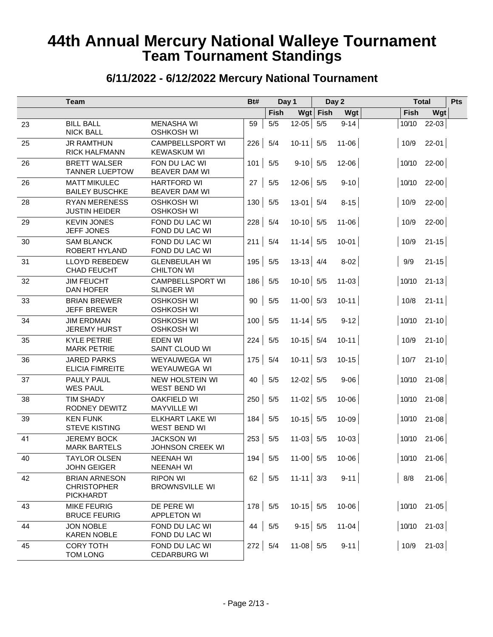|    | <b>Team</b>                                                    |                                               | Bt#            |      | Day 1         |            | Day 2     |                   | <b>Total</b>  | Pts |
|----|----------------------------------------------------------------|-----------------------------------------------|----------------|------|---------------|------------|-----------|-------------------|---------------|-----|
|    |                                                                |                                               |                | Fish |               | Wgt   Fish | Wgt       | Fish              | Wgt           |     |
| 23 | <b>BILL BALL</b><br><b>NICK BALL</b>                           | <b>MENASHA WI</b><br><b>OSHKOSH WI</b>        | 59             | 5/5  | $12 - 05$     | 5/5        | $9 - 14$  | 10/10             | $22 - 03$     |     |
| 25 | <b>JR RAMTHUN</b><br><b>RICK HALFMANN</b>                      | <b>CAMPBELLSPORT WI</b><br><b>KEWASKUM WI</b> | 226            | 5/4  | $10-11$ 5/5   |            | $11 - 06$ | 10/9              | $22 - 01$     |     |
| 26 | <b>BRETT WALSER</b><br><b>TANNER LUEPTOW</b>                   | FON DU LAC WI<br><b>BEAVER DAM WI</b>         | 101            | 5/5  | $9-10$ 5/5    |            | $12 - 06$ |                   | $10/10$ 22-00 |     |
| 26 | <b>MATT MIKULEC</b><br><b>BAILEY BUSCHKE</b>                   | <b>HARTFORD WI</b><br><b>BEAVER DAM WI</b>    | 27             | 5/5  | $12-06$ 5/5   |            | $9-10$    |                   | $10/10$ 22-00 |     |
| 28 | <b>RYAN MERENESS</b><br><b>JUSTIN HEIDER</b>                   | <b>OSHKOSH WI</b><br><b>OSHKOSH WI</b>        | 130            | 5/5  | $13-01$ 5/4   |            | $8 - 15$  | 10/9              | $22-00$       |     |
| 29 | <b>KEVIN JONES</b><br>JEFF JONES                               | FOND DU LAC WI<br>FOND DU LAC WI              | 228            | 5/4  | $10-10$ 5/5   |            | $11 - 06$ | 10/9              | $22-00$       |     |
| 30 | <b>SAM BLANCK</b><br>ROBERT HYLAND                             | FOND DU LAC WI<br>FOND DU LAC WI              | 211            | 5/4  | $11 - 14$ 5/5 |            | $10-01$   | 10/9              | $21 - 15$     |     |
| 31 | <b>LLOYD REBEDEW</b><br><b>CHAD FEUCHT</b>                     | <b>GLENBEULAH WI</b><br><b>CHILTON WI</b>     | 195            | 5/5  | $13-13$ 4/4   |            | $8-02$    | 9/9               | $21 - 15$     |     |
| 32 | <b>JIM FEUCHT</b><br><b>DAN HOFER</b>                          | <b>CAMPBELLSPORT WI</b><br><b>SLINGER WI</b>  | 186            | 5/5  | $10-10$ 5/5   |            | $11 - 03$ |                   | $10/10$ 21-13 |     |
| 33 | <b>BRIAN BREWER</b><br><b>JEFF BREWER</b>                      | <b>OSHKOSH WI</b><br><b>OSHKOSH WI</b>        | 90             | 5/5  | $11-00$ 5/3   |            | $10 - 11$ | 10/8              | $21 - 11$     |     |
| 34 | <b>JIM ERDMAN</b><br><b>JEREMY HURST</b>                       | <b>OSHKOSH WI</b><br><b>OSHKOSH WI</b>        | 100            | 5/5  | $11 - 14$ 5/5 |            | $9-12$    |                   | $10/10$ 21-10 |     |
| 35 | <b>KYLE PETRIE</b><br><b>MARK PETRIE</b>                       | <b>EDEN WI</b><br>SAINT CLOUD WI              | 224            | 5/5  | $10-15$ 5/4   |            | $10 - 11$ | 10/9              | $21 - 10$     |     |
| 36 | <b>JARED PARKS</b><br><b>ELICIA FIMREITE</b>                   | WEYAUWEGA WI<br>WEYAUWEGA WI                  | 175            | 5/4  | $10-11$ 5/3   |            | $10 - 15$ | 10/7              | $21 - 10$     |     |
| 37 | PAULY PAUL<br><b>WES PAUL</b>                                  | NEW HOLSTEIN WI<br>WEST BEND WI               | 40             | 5/5  | $12-02$ 5/5   |            | $9 - 06$  |                   | $10/10$ 21-08 |     |
| 38 | <b>TIM SHADY</b><br>RODNEY DEWITZ                              | <b>OAKFIELD WI</b><br><b>MAYVILLE WI</b>      | 250            | 5/5  | $11-02$ 5/5   |            | $10 - 06$ |                   | $10/10$ 21-08 |     |
| 39 | <b>KEN FUNK</b><br><b>STEVE KISTING</b>                        | ELKHART LAKE WI<br>WEST BEND WI               | 184            | 5/5  | $10-15$ 5/5   |            | $10 - 09$ |                   | $10/10$ 21-08 |     |
| 41 | <b>JEREMY BOCK</b><br><b>MARK BARTELS</b>                      | <b>JACKSON WI</b><br>JOHNSON CREEK WI         | 253            | 5/5  | $11-03$ 5/5   |            | $10 - 03$ |                   | $10/10$ 21-06 |     |
| 40 | <b>TAYLOR OLSEN</b><br><b>JOHN GEIGER</b>                      | <b>NEENAH WI</b><br><b>NEENAH WI</b>          | $194$ 5/5      |      | $11-00$ 5/5   |            | $10 - 06$ | <b>COLLECTION</b> | $10/10$ 21-06 |     |
| 42 | <b>BRIAN ARNESON</b><br><b>CHRISTOPHER</b><br><b>PICKHARDT</b> | <b>RIPON WI</b><br><b>BROWNSVILLE WI</b>      | 62             | 5/5  | $11 - 11$ 3/3 |            | $9 - 11$  | 8/8               | $21 - 06$     |     |
| 43 | <b>MIKE FEURIG</b><br><b>BRUCE FEURIG</b>                      | DE PERE WI<br>APPLETON WI                     | $178$ 5/5      |      | $10-15$ 5/5   |            | $10 - 06$ |                   | $10/10$ 21-05 |     |
| 44 | <b>JON NOBLE</b><br><b>KAREN NOBLE</b>                         | FOND DU LAC WI<br>FOND DU LAC WI              | 44             | 5/5  | $9-15$ 5/5    |            | $11-04$   |                   | $10/10$ 21-03 |     |
| 45 | <b>CORY TOTH</b><br><b>TOM LONG</b>                            | FOND DU LAC WI<br><b>CEDARBURG WI</b>         | $272 \mid 5/4$ |      | $11-08$ 5/5   |            | $9 - 11$  |                   | $10/9$ 21-03  |     |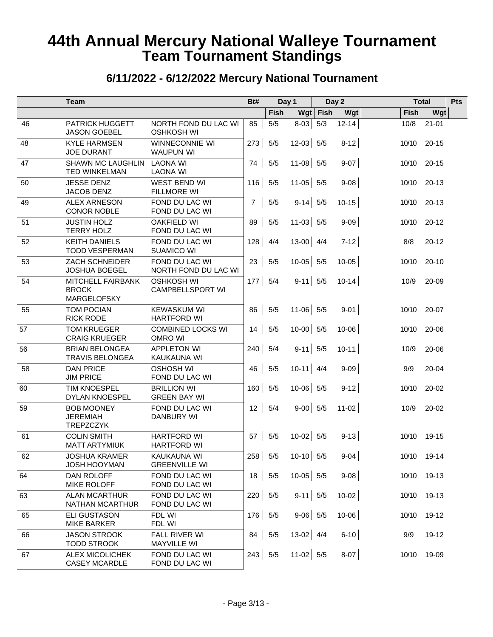|    | <b>Team</b>                                              |                                              | Bt#            |       | Day 1       |            | Day 2                        |       | <b>Total</b>      | Pts |
|----|----------------------------------------------------------|----------------------------------------------|----------------|-------|-------------|------------|------------------------------|-------|-------------------|-----|
|    |                                                          |                                              |                | Fish  |             | $Wgt$ Fish | Wgt                          | Fish  | Wgt               |     |
| 46 | <b>PATRICK HUGGETT</b><br><b>JASON GOEBEL</b>            | NORTH FOND DU LAC WI<br><b>OSHKOSH WI</b>    | 85             | $5/5$ | $8-03$      | 5/3        | $12 - 14$                    | 10/8  | $21 - 01$         |     |
| 48 | <b>KYLE HARMSEN</b><br><b>JOE DURANT</b>                 | WINNECONNIE WI<br><b>WAUPUN WI</b>           | 273            | 5/5   | $12-03$ 5/5 |            | $8-12$                       |       | $10/10$ 20-15     |     |
| 47 | <b>SHAWN MC LAUGHLIN</b><br>TED WINKELMAN                | <b>LAONA WI</b><br>LAONA WI                  | 74             | 5/5   | $11-08$ 5/5 |            | $9-07$                       |       | $10/10$ 20-15     |     |
| 50 | <b>JESSE DENZ</b><br>JACOB DENZ                          | WEST BEND WI<br><b>FILLMORE WI</b>           | 116            | 5/5   | $11-05$ 5/5 |            | $9 - 08$                     |       | $10/10$ 20-13     |     |
| 49 | <b>ALEX ARNESON</b><br><b>CONOR NOBLE</b>                | FOND DU LAC WI<br>FOND DU LAC WI             | $\overline{7}$ | $5/5$ | $9-14$ 5/5  |            | $10 - 15$                    |       | $10/10$ 20-13     |     |
| 51 | <b>JUSTIN HOLZ</b><br><b>TERRY HOLZ</b>                  | <b>OAKFIELD WI</b><br>FOND DU LAC WI         | 89             | $5/5$ | $11-03$ 5/5 |            | $9 - 09$                     |       | $10/10$ 20-12     |     |
| 52 | <b>KEITH DANIELS</b><br><b>TODD VESPERMAN</b>            | FOND DU LAC WI<br><b>SUAMICO WI</b>          | 128            | 4/4   | $13-00$ 4/4 |            | $7-12$                       | 8/8   | $20 - 12$         |     |
| 53 | <b>ZACH SCHNEIDER</b><br>JOSHUA BOEGEL                   | FOND DU LAC WI<br>NORTH FOND DU LAC WI       | 23             | $5/5$ | $10-05$ 5/5 |            | $10 - 05$                    |       | $10/10$ 20-10     |     |
| 54 | MITCHELL FAIRBANK<br><b>BROCK</b><br>MARGELOFSKY         | <b>OSHKOSH WI</b><br><b>CAMPBELLSPORT WI</b> | 177            | 5/4   | $9-11$ 5/5  |            | $10 - 14$                    | 10/9  | $20-09$           |     |
| 55 | <b>TOM POCIAN</b><br><b>RICK RODE</b>                    | <b>KEWASKUM WI</b><br><b>HARTFORD WI</b>     | 86             | $5/5$ | $11-06$ 5/5 |            | $9-01$                       |       | $10/10$ 20-07     |     |
| 57 | <b>TOM KRUEGER</b><br><b>CRAIG KRUEGER</b>               | <b>COMBINED LOCKS WI</b><br><b>OMRO WI</b>   | 14             | $5/5$ | $10-00$ 5/5 |            | $10 - 06$                    |       | $10/10$ 20-06     |     |
| 56 | <b>BRIAN BELONGEA</b><br><b>TRAVIS BELONGEA</b>          | <b>APPLETON WI</b><br>KAUKAUNA WI            | 240            | 5/4   | $9-11$ 5/5  |            | $10 - 11$                    | 10/9  | $20 - 06$         |     |
| 58 | <b>DAN PRICE</b><br><b>JIM PRICE</b>                     | <b>OSHOSH WI</b><br>FOND DU LAC WI           | 46             | 5/5   | $10-11$ 4/4 |            | $9 - 09$                     | 9/9   | $20 - 04$         |     |
| 60 | <b>TIM KNOESPEL</b><br><b>DYLAN KNOESPEL</b>             | <b>BRILLION WI</b><br><b>GREEN BAY WI</b>    | 160            | 5/5   | $10-06$ 5/5 |            | $9-12$                       | 10/10 | $20-02$           |     |
| 59 | <b>BOB MOONEY</b><br><b>JEREMIAH</b><br><b>TREPZCZYK</b> | FOND DU LAC WI<br><b>DANBURY WI</b>          | 12             | 5/4   | $9-00$ 5/5  |            | $11-02$                      | 10/9  | $20 - 02$         |     |
| 61 | <b>COLIN SMITH</b><br><b>MATT ARTYMIUK</b>               | <b>HARTFORD WI</b><br><b>HARTFORD WI</b>     | 57             | 5/5   | $10-02$ 5/5 |            | $9 - 13$                     |       | $ 10/10 \t19-15 $ |     |
| 62 | <b>JOSHUA KRAMER</b><br>JOSH HOOYMAN                     | KAUKAUNA WI<br><b>GREENVILLE WI</b>          |                |       |             |            | $258$   5/5 10-10   5/5 9-04 |       | $ 10/10 \t19-14 $ |     |
| 64 | DAN ROLOFF<br>MIKE ROLOFF                                | FOND DU LAC WI<br>FOND DU LAC WI             | 18             | 5/5   | $10-05$ 5/5 |            | $9 - 08$                     |       | $ 10/10 19-13 $   |     |
| 63 | <b>ALAN MCARTHUR</b><br><b>NATHAN MCARTHUR</b>           | FOND DU LAC WI<br>FOND DU LAC WI             | 220   5/5      |       | $9-11$ 5/5  |            | $10-02$                      |       | $ 10/10 19-13 $   |     |
| 65 | <b>ELI GUSTASON</b><br>MIKE BARKER                       | FDL WI<br>FDL WI                             | 176            | 5/5   | $9-06$ 5/5  |            | $10 - 06$                    |       | $10/10$ 19-12     |     |
| 66 | <b>JASON STROOK</b><br><b>TODD STROOK</b>                | FALL RIVER WI<br><b>MAYVILLE WI</b>          | 84             | 5/5   | $13-02$ 4/4 |            | $6-10$                       | 9/9   | $19-12$           |     |
| 67 | ALEX MICOLICHEK<br><b>CASEY MCARDLE</b>                  | FOND DU LAC WI<br>FOND DU LAC WI             | 243            | 5/5   | $11-02$ 5/5 |            | $8-07$                       |       | $10/10$ 19-09     |     |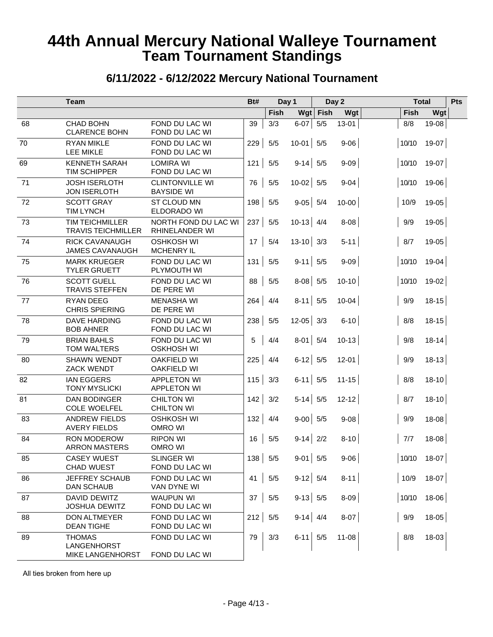#### **6/11/2022 - 6/12/2022 Mercury National Tournament**

|    | <b>Team</b>                                             |                                             | Bt#           |             | Day 1                      |            | Day 2     |       | <b>Total</b>  | Pts |
|----|---------------------------------------------------------|---------------------------------------------|---------------|-------------|----------------------------|------------|-----------|-------|---------------|-----|
|    |                                                         |                                             |               | <b>Fish</b> |                            | $Wgt$ Fish | Wgt       | Fish  | Wgt           |     |
| 68 | <b>CHAD BOHN</b><br><b>CLARENCE BOHN</b>                | FOND DU LAC WI<br>FOND DU LAC WI            | 39            | 3/3         | $6-07$                     | 5/5        | $13 - 01$ | 8/8   | $19-08$       |     |
| 70 | <b>RYAN MIKLE</b><br><b>LEE MIKLE</b>                   | FOND DU LAC WI<br>FOND DU LAC WI            | 229           | 5/5         | $10-01$ 5/5                |            | $9 - 06$  |       | $10/10$ 19-07 |     |
| 69 | <b>KENNETH SARAH</b><br><b>TIM SCHIPPER</b>             | <b>LOMIRA WI</b><br>FOND DU LAC WI          | 121           | $5/5$       | $9-14$ 5/5                 |            | $9 - 09$  |       | $10/10$ 19-07 |     |
| 71 | <b>JOSH ISERLOTH</b><br><b>JON ISERLOTH</b>             | <b>CLINTONVILLE WI</b><br><b>BAYSIDE WI</b> | 76            | $5/5$       | $10-02$ 5/5                |            | $9 - 04$  |       | $10/10$ 19-06 |     |
| 72 | <b>SCOTT GRAY</b><br><b>TIM LYNCH</b>                   | ST CLOUD MN<br>ELDORADO WI                  | 198           | 5/5         | $9-05$ 5/4                 |            | $10 - 00$ | 10/9  | $19-05$       |     |
| 73 | <b>TIM TEICHMILLER</b><br><b>TRAVIS TEICHMILLER</b>     | NORTH FOND DU LAC WI<br>RHINELANDER WI      | 237           | $5/5$       | $10-13$ 4/4                |            | 8-08      | 9/9   | $19-05$       |     |
| 74 | <b>RICK CAVANAUGH</b><br><b>JAMES CAVANAUGH</b>         | <b>OSHKOSH WI</b><br><b>MCHENRY IL</b>      | 17            | 5/4         | $13-10$ 3/3                |            | $5 - 11$  | 8/7   | $19-05$       |     |
| 75 | <b>MARK KRUEGER</b><br><b>TYLER GRUETT</b>              | FOND DU LAC WI<br>PLYMOUTH WI               | 131           | 5/5         | $9-11$ 5/5                 |            | $9 - 09$  | 10/10 | $19-04$       |     |
| 76 | <b>SCOTT GUELL</b><br><b>TRAVIS STEFFEN</b>             | FOND DU LAC WI<br>DE PERE WI                | 88            | $5/5$       | $8-08$ 5/5                 |            | $10 - 10$ | 10/10 | $19-02$       |     |
| 77 | <b>RYAN DEEG</b><br><b>CHRIS SPIERING</b>               | <b>MENASHA WI</b><br>DE PERE WI             | 264           | 4/4         | $8-11$ 5/5                 |            | $10 - 04$ | 9/9   | $18 - 15$     |     |
| 78 | <b>DAVE HARDING</b><br><b>BOB AHNER</b>                 | FOND DU LAC WI<br>FOND DU LAC WI            | 238           | $5/5$       | $12-05$ 3/3                |            | $6 - 10$  | 8/8   | $18 - 15$     |     |
| 79 | <b>BRIAN BAHLS</b><br>TOM WALTERS                       | FOND DU LAC WI<br><b>OSKHOSH WI</b>         | 5             | 4/4         | $8-01$ 5/4                 |            | $10 - 13$ | 9/8   | $18 - 14$     |     |
| 80 | <b>SHAWN WENDT</b><br><b>ZACK WENDT</b>                 | <b>OAKFIELD WI</b><br><b>OAKFIELD WI</b>    | 225           | 4/4         | $6-12$ 5/5                 |            | $12 - 01$ | 9/9   | $18 - 13$     |     |
| 82 | <b>IAN EGGERS</b><br><b>TONY MYSLICKI</b>               | <b>APPLETON WI</b><br><b>APPLETON WI</b>    | 115           | 3/3         | $6-11$ 5/5                 |            | $11 - 15$ | 8/8   | $18-10$       |     |
| 81 | <b>DAN BODINGER</b><br><b>COLE WOELFEL</b>              | <b>CHILTON WI</b><br><b>CHILTON WI</b>      | 142           | 3/2         | $5-14$ 5/5                 |            | $12 - 12$ | 8/7   | $18-10$       |     |
| 83 | <b>ANDREW FIELDS</b><br><b>AVERY FIELDS</b>             | <b>OSHKOSH WI</b><br>OMRO WI                | 132           | 4/4         | $9-00$ 5/5                 |            | $9 - 08$  | 9/9   | $18-08$       |     |
| 84 | <b>RON MODEROW</b><br><b>ARRON MASTERS</b>              | <b>RIPON WI</b><br>OMRO WI                  | 16            | $5/5$       | $9-14$ 2/2                 |            | $8 - 10$  | 7/7   | $18 - 08$     |     |
| 85 | <b>CASEY WUEST</b><br><b>CHAD WUEST</b>                 | <b>SLINGER WI</b><br>FOND DU LAC WI         | 138           | 5/5         | $\mathbf{L}$<br>$9-01$ 5/5 |            | $9 - 06$  |       | 10/10 18-07   |     |
| 86 | JEFFREY SCHAUB<br><b>DAN SCHAUB</b>                     | FOND DU LAC WI<br>VAN DYNE WI               | 41            | $5/5$       | $9-12$ 5/4                 |            | $8 - 11$  |       | $10/9$ 18-07  |     |
| 87 | DAVID DEWITZ<br><b>JOSHUA DEWITZ</b>                    | <b>WAUPUN WI</b><br>FOND DU LAC WI          | 37            | $5/5$       | $9-13$ 5/5                 |            | $8 - 09$  |       | $10/10$ 18-06 |     |
| 88 | <b>DON ALTMEYER</b><br><b>DEAN TIGHE</b>                | FOND DU LAC WI<br>FOND DU LAC WI            | 212           | 5/5         | $9-14$ 4/4                 |            | $8-07$    | 9/9   | $18-05$       |     |
| 89 | <b>THOMAS</b><br>LANGENHORST<br><b>MIKE LANGENHORST</b> | FOND DU LAC WI<br>FOND DU LAC WI            | 79            | 3/3         | $6-11$ 5/5                 |            | $11 - 08$ | 8/8   | $18-03$       |     |
|    | All ties broken from here up                            |                                             |               |             |                            |            |           |       |               |     |
|    |                                                         |                                             |               |             |                            |            |           |       |               |     |
|    |                                                         |                                             | - Page 4/13 - |             |                            |            |           |       |               |     |
|    |                                                         |                                             |               |             |                            |            |           |       |               |     |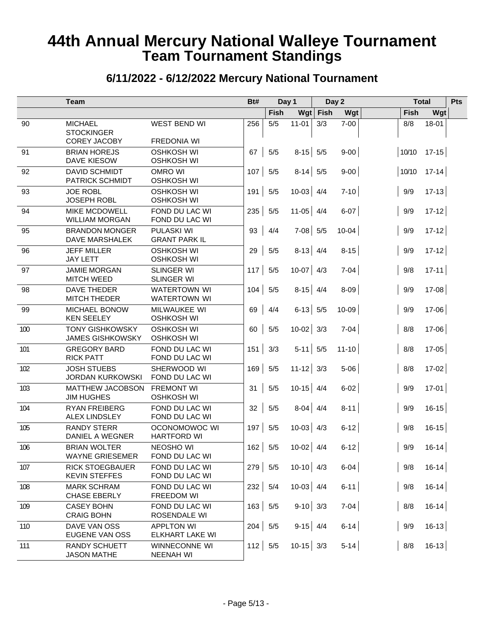|     | <b>Team</b>                                                |                                            | Bt#       |       | Day 1         |      | Day 2     |       | <b>Total</b>  | Pts |
|-----|------------------------------------------------------------|--------------------------------------------|-----------|-------|---------------|------|-----------|-------|---------------|-----|
|     |                                                            |                                            |           | Fish  | Wgt           | Fish | Wgt       | Fish  | Wgt           |     |
| 90  | <b>MICHAEL</b><br><b>STOCKINGER</b><br><b>COREY JACOBY</b> | WEST BEND WI<br><b>FREDONIA WI</b>         | 256       | $5/5$ | $11 - 01$     | 3/3  | $7 - 00$  | 8/8   | $18 - 01$     |     |
| 91  | <b>BRIAN HOREJS</b><br>DAVE KIESOW                         | <b>OSHKOSH WI</b><br><b>OSHKOSH WI</b>     | 67        | 5/5   | $8-15$ 5/5    |      | $9-00$    |       | $10/10$ 17-15 |     |
| 92  | <b>DAVID SCHMIDT</b><br><b>PATRICK SCHMIDT</b>             | <b>OMRO WI</b><br><b>OSHKOSH WI</b>        | 107       | 5/5   | $8-14$ 5/5    |      | $9-00$    |       | $10/10$ 17-14 |     |
| 93  | <b>JOE ROBL</b><br><b>JOSEPH ROBL</b>                      | <b>OSHKOSH WI</b><br><b>OSHKOSH WI</b>     | $191$ 5/5 |       | $10-03$ 4/4   |      | $7-10$    | 9/9   | $17 - 13$     |     |
| 94  | <b>MIKE MCDOWELL</b><br><b>WILLIAM MORGAN</b>              | FOND DU LAC WI<br>FOND DU LAC WI           | 235       | 5/5   | $11-05$ 4/4   |      | $6-07$    | 9/9   | $17 - 12$     |     |
| 95  | <b>BRANDON MONGER</b><br>DAVE MARSHALEK                    | <b>PULASKI WI</b><br><b>GRANT PARK IL</b>  | 93        | 4/4   | $7-08$ 5/5    |      | $10 - 04$ | 9/9   | $17 - 12$     |     |
| 96  | <b>JEFF MILLER</b><br><b>JAY LETT</b>                      | <b>OSHKOSH WI</b><br><b>OSHKOSH WI</b>     | 29        | 5/5   | $8-13$ 4/4    |      | $8 - 15$  | 9/9   | $17 - 12$     |     |
| 97  | <b>JAMIE MORGAN</b><br><b>MITCH WEED</b>                   | <b>SLINGER WI</b><br><b>SLINGER WI</b>     | 117       | 5/5   | $10-07$ 4/3   |      | $7-04$    | 9/8   | $17 - 11$     |     |
| 98  | <b>DAVE THEDER</b><br><b>MITCH THEDER</b>                  | <b>WATERTOWN WI</b><br><b>WATERTOWN WI</b> | 104       | 5/5   | $8-15$ 4/4    |      | $8-09$    | 9/9   | $17 - 08$     |     |
| 99  | MICHAEL BONOW<br><b>KEN SEELEY</b>                         | MILWAUKEE WI<br><b>OSHKOSH WI</b>          | 69        | 4/4   | $6-13$ 5/5    |      | $10 - 09$ | 9/9   | $17 - 06$     |     |
| 100 | <b>TONY GISHKOWSKY</b><br><b>JAMES GISHKOWSKY</b>          | <b>OSHKOSH WI</b><br><b>OSHKOSH WI</b>     | 60        | 5/5   | $10-02$ 3/3   |      | $7-04$    | 8/8   | $17 - 06$     |     |
| 101 | <b>GREGORY BARD</b><br><b>RICK PATT</b>                    | FOND DU LAC WI<br>FOND DU LAC WI           | 151       | 3/3   | $5-11$ 5/5    |      | $11 - 10$ | 8/8   | $17 - 05$     |     |
| 102 | <b>JOSH STUEBS</b><br><b>JORDAN KURKOWSKI</b>              | SHERWOOD WI<br>FOND DU LAC WI              | 169       | 5/5   | $11 - 12$ 3/3 |      | $5-06$    | 8/8   | $17 - 02$     |     |
| 103 | <b>MATTHEW JACOBSON</b><br><b>JIM HUGHES</b>               | <b>FREMONT WI</b><br><b>OSHKOSH WI</b>     | 31        | 5/5   | $10-15$ 4/4   |      | $6-02$    | 9/9   | $17 - 01$     |     |
| 104 | <b>RYAN FREIBERG</b><br>ALEX LINDSLEY                      | FOND DU LAC WI<br>FOND DU LAC WI           | 32        | 5/5   | $8-04$ 4/4    |      | $8 - 11$  | 9/9   | $16 - 15$     |     |
| 105 | <b>RANDY STERR</b><br>DANIEL A WEGNER                      | OCONOMOWOC WI<br><b>HARTFORD WI</b>        | 197       | 5/5   | $10-03$ 4/3   |      | $6-12$    | 9/8   | $16 - 15$     |     |
| 106 | <b>BRIAN WOLTER</b><br><b>WAYNE GRIESEMER</b>              | <b>NEOSHO WI</b><br>FOND DU LAC WI         | $162$ 5/5 |       | $10-02$ 4/4   |      | $6-12$    | 9/9   | $16 - 14$     |     |
| 107 | <b>RICK STOEGBAUER</b><br><b>KEVIN STEFFES</b>             | FOND DU LAC WI<br>FOND DU LAC WI           | $279$ 5/5 |       | $10-10$ 4/3   |      | $6-04$    | 9/8   | $16 - 14$     |     |
| 108 | <b>MARK SCHRAM</b><br>CHASE EBERLY                         | FOND DU LAC WI<br>FREEDOM WI               | 232   5/4 |       | $10-03$ 4/4   |      | $6-11$    | 9/8   | $16 - 14$     |     |
| 109 | <b>CASEY BOHN</b><br><b>CRAIG BOHN</b>                     | FOND DU LAC WI<br>ROSENDALE WI             | 163   5/5 |       | $9-10$ 3/3    |      | $7-04$    | 8/8   | $16 - 14$     |     |
| 110 | DAVE VAN OSS<br>EUGENE VAN OSS                             | <b>APPLTON WI</b><br>ELKHART LAKE WI       | 204       | 5/5   | $9-15$ 4/4    |      | $6-14$    | 9/9   | $16 - 13$     |     |
| 111 | RANDY SCHUETT<br><b>JASON MATHE</b>                        | WINNECONNE WI<br><b>NEENAH WI</b>          | $112$ 5/5 |       | $10-15$ 3/3   |      | $5-14$    | $8/8$ | $16-13$       |     |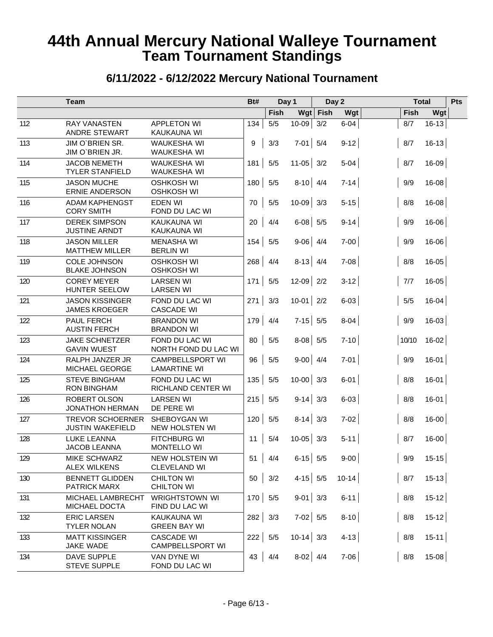|     | <b>Team</b>                                        |                                                | Bt#       |       | Day 1       |            | Day 2     |       | <b>Total</b> | Pts |
|-----|----------------------------------------------------|------------------------------------------------|-----------|-------|-------------|------------|-----------|-------|--------------|-----|
|     |                                                    |                                                |           | Fish  |             | $Wgt$ Fish | Wgt       | Fish  | Wgt          |     |
| 112 | <b>RAY VANASTEN</b><br>ANDRE STEWART               | <b>APPLETON WI</b><br>KAUKAUNA WI              | 134       | 5/5   | $10 - 09$   | 3/2        | $6 - 04$  | 8/7   | $16 - 13$    |     |
| 113 | JIM O'BRIEN SR.<br>JIM O'BRIEN JR.                 | WAUKESHA WI<br><b>WAUKESHA WI</b>              | 9         | 3/3   | $7-01$ 5/4  |            | $9-12$    | 8/7   | $16 - 13$    |     |
| 114 | <b>JACOB NEMETH</b><br><b>TYLER STANFIELD</b>      | <b>WAUKESHA WI</b><br><b>WAUKESHA WI</b>       | 181       | $5/5$ | $11-05$ 3/2 |            | $5-04$    | 8/7   | $16 - 09$    |     |
| 115 | <b>JASON MUCHE</b><br><b>ERNIE ANDERSON</b>        | <b>OSHKOSH WI</b><br><b>OSHKOSH WI</b>         | 180       | $5/5$ | $8-10$ 4/4  |            | $7 - 14$  | 9/9   | $16 - 08$    |     |
| 116 | <b>ADAM KAPHENGST</b><br><b>CORY SMITH</b>         | <b>EDEN WI</b><br>FOND DU LAC WI               | 70        | $5/5$ | $10-09$ 3/3 |            | $5 - 15$  | 8/8   | $16 - 08$    |     |
| 117 | <b>DEREK SIMPSON</b><br><b>JUSTINE ARNDT</b>       | KAUKAUNA WI<br><b>KAUKAUNA WI</b>              | 20        | 4/4   | $6-08$ 5/5  |            | $9 - 14$  | 9/9   | $16 - 06$    |     |
| 118 | <b>JASON MILLER</b><br><b>MATTHEW MILLER</b>       | <b>MENASHA WI</b><br><b>BERLIN WI</b>          | 154       | 5/5   | $9-06$ 4/4  |            | $7-00$    | 9/9   | $16 - 06$    |     |
| 119 | <b>COLE JOHNSON</b><br><b>BLAKE JOHNSON</b>        | <b>OSHKOSH WI</b><br><b>OSHKOSH WI</b>         | 268       | 4/4   | $8-13$ 4/4  |            | $7 - 08$  | 8/8   | $16 - 05$    |     |
| 120 | <b>COREY MEYER</b><br>HUNTER SEELOW                | <b>LARSEN WI</b><br><b>LARSEN WI</b>           | 171       | $5/5$ | $12-09$ 2/2 |            | $3-12$    | 7/7   | $16 - 05$    |     |
| 121 | <b>JASON KISSINGER</b><br><b>JAMES KROEGER</b>     | FOND DU LAC WI<br><b>CASCADE WI</b>            | 271       | 3/3   | $10-01$ 2/2 |            | $6 - 03$  | $5/5$ | $16 - 04$    |     |
| 122 | PAUL FERCH<br><b>AUSTIN FERCH</b>                  | <b>BRANDON WI</b><br><b>BRANDON WI</b>         | 179       | 4/4   | $7-15$ 5/5  |            | $8 - 04$  | 9/9   | $16-03$      |     |
| 123 | <b>JAKE SCHNETZER</b><br><b>GAVIN WUEST</b>        | FOND DU LAC WI<br>NORTH FOND DU LAC WI         | 80        | $5/5$ | $8-08$ 5/5  |            | $7-10$    | 10/10 | $16-02$      |     |
| 124 | RALPH JANZER JR<br>MICHAEL GEORGE                  | <b>CAMPBELLSPORT WI</b><br><b>LAMARTINE WI</b> | 96        | $5/5$ | $9-00$ 4/4  |            | $7-01$    | 9/9   | $16-01$      |     |
| 125 | <b>STEVE BINGHAM</b><br><b>RON BINGHAM</b>         | FOND DU LAC WI<br>RICHLAND CENTER WI           | 135       | $5/5$ | $10-00$ 3/3 |            | $6-01$    | 8/8   | $16-01$      |     |
| 126 | ROBERT OLSON<br><b>JONATHON HERMAN</b>             | <b>LARSEN WI</b><br>DE PERE WI                 | 215       | 5/5   | $9-14$ 3/3  |            | $6 - 03$  | 8/8   | $16-01$      |     |
| 127 | <b>TREVOR SCHOERNER</b><br><b>JUSTIN WAKEFIELD</b> | SHEBOYGAN WI<br><b>NEW HOLSTEN WI</b>          | 120       | 5/5   | $8-14$ 3/3  |            | $7 - 02$  | 8/8   | $16-00$      |     |
| 128 | <b>LUKE LEANNA</b><br><b>JACOB LEANNA</b>          | <b>FITCHBURG WI</b><br><b>MONTELLO WI</b>      | 11        | 5/4   | $10 - 05$   | 3/3        | $5 - 11$  | 8/7   | $16 - 00$    |     |
| 129 | MIKE SCHWARZ<br><b>ALEX WILKENS</b>                | NEW HOLSTEIN WI<br><b>CLEVELAND WI</b>         | 51        | 4/4   | $6-15$ 5/5  |            | $9 - 00$  | 9/9   | $15 - 15$    |     |
| 130 | <b>BENNETT GLIDDEN</b><br><b>PATRICK MARX</b>      | <b>CHILTON WI</b><br><b>CHILTON WI</b>         | 50        | 3/2   | $4-15$ 5/5  |            | $10 - 14$ | 8/7   | $15-13$      |     |
| 131 | MICHAEL LAMBRECHT<br>MICHAEL DOCTA                 | <b>WRIGHTSTOWN WI</b><br>FIND DU LAC WI        | 170       | 5/5   | $9-01$ 3/3  |            | $6-11$    | 8/8   | $15-12$      |     |
| 132 | <b>ERIC LARSEN</b><br><b>TYLER NOLAN</b>           | KAUKAUNA WI<br><b>GREEN BAY WI</b>             | $282$ 3/3 |       | $7-02$ 5/5  |            | $8-10$    | 8/8   | $15-12$      |     |
| 133 | <b>MATT KISSINGER</b><br>JAKE WADE                 | <b>CASCADE WI</b><br>CAMPBELLSPORT WI          | 222       | 5/5   | $10-14$ 3/3 |            | $4 - 13$  | $8/8$ | $15-11$      |     |
| 134 | DAVE SUPPLE<br><b>STEVE SUPPLE</b>                 | VAN DYNE WI<br>FOND DU LAC WI                  | 43        | 4/4   | $8-02$ 4/4  |            | $7-06$    | 8/8   | $15-08$      |     |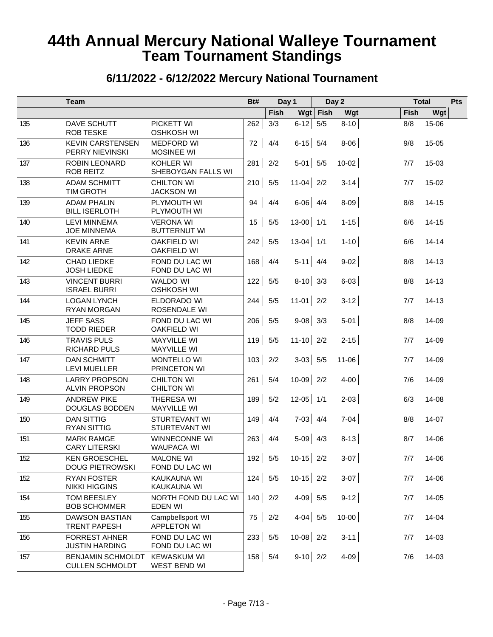|     | <b>Team</b>                                        |                                          | Bt# |       | Day 1                       |            | Day 2     |       | <b>Total</b> | Pts |
|-----|----------------------------------------------------|------------------------------------------|-----|-------|-----------------------------|------------|-----------|-------|--------------|-----|
|     |                                                    |                                          |     | Fish  |                             | $Wgt$ Fish | Wgt       | Fish  | Wgt          |     |
| 135 | DAVE SCHUTT<br><b>ROB TESKE</b>                    | PICKETT WI<br><b>OSHKOSH WI</b>          | 262 | 3/3   | $6-12$                      | 5/5        | $8 - 10$  | 8/8   | $15-06$      |     |
| 136 | <b>KEVIN CARSTENSEN</b><br>PERRY NIEVINSKI         | <b>MEDFORD WI</b><br><b>MOSINEE WI</b>   | 72  | 4/4   | $6-15$ 5/4                  |            | $8 - 06$  | $9/8$ | $15 - 05$    |     |
| 137 | ROBIN LEONARD<br><b>ROB REITZ</b>                  | KOHLER WI<br>SHEBOYGAN FALLS WI          | 281 | $2/2$ | $5-01$ 5/5                  |            | $10-02$   | 7/7   | $15-03$      |     |
| 138 | <b>ADAM SCHMITT</b><br><b>TIM GROTH</b>            | <b>CHILTON WI</b><br><b>JACKSON WI</b>   | 210 | $5/5$ | $11-04$ 2/2                 |            | $3 - 14$  | 7/7   | $15-02$      |     |
| 139 | <b>ADAM PHALIN</b><br><b>BILL ISERLOTH</b>         | PLYMOUTH WI<br>PLYMOUTH WI               | 94  | 4/4   | $6-06$ 4/4                  |            | $8 - 09$  | 8/8   | $14 - 15$    |     |
| 140 | <b>LEVI MINNEMA</b><br><b>JOE MINNEMA</b>          | <b>VERONA WI</b><br><b>BUTTERNUT WI</b>  | 15  | $5/5$ | $13-00$ 1/1                 |            | $1 - 15$  | 6/6   | $14 - 15$    |     |
| 141 | <b>KEVIN ARNE</b><br><b>DRAKE ARNE</b>             | <b>OAKFIELD WI</b><br><b>OAKFIELD WI</b> | 242 | $5/5$ | $13-04$ 1/1                 |            | $1 - 10$  | 6/6   | $14 - 14$    |     |
| 142 | <b>CHAD LIEDKE</b><br><b>JOSH LIEDKE</b>           | FOND DU LAC WI<br>FOND DU LAC WI         | 168 | 4/4   | $5-11$ 4/4                  |            | $9-02$    | 8/8   | $14 - 13$    |     |
| 143 | <b>VINCENT BURRI</b><br><b>ISRAEL BURRI</b>        | <b>WALDO WI</b><br><b>OSHKOSH WI</b>     | 122 | $5/5$ | $8-10$ 3/3                  |            | $6 - 03$  | 8/8   | $14 - 13$    |     |
| 144 | <b>LOGAN LYNCH</b><br><b>RYAN MORGAN</b>           | ELDORADO WI<br>ROSENDALE WI              | 244 | 5/5   | $11-01$ 2/2                 |            | $3-12$    | 7/7   | $14 - 13$    |     |
| 145 | <b>JEFF SASS</b><br><b>TODD RIEDER</b>             | FOND DU LAC WI<br><b>OAKFIELD WI</b>     | 206 | 5/5   | $9-08$ 3/3                  |            | $5 - 01$  | 8/8   | $14 - 09$    |     |
| 146 | <b>TRAVIS PULS</b><br><b>RICHARD PULS</b>          | <b>MAYVILLE WI</b><br><b>MAYVILLE WI</b> | 119 | 5/5   | $11-10$ 2/2                 |            | $2 - 15$  | 7/7   | $14 - 09$    |     |
| 147 | <b>DAN SCHMITT</b><br><b>LEVI MUELLER</b>          | <b>MONTELLO WI</b><br>PRINCETON WI       | 103 | 2/2   | $3-03$ 5/5                  |            | $11 - 06$ | 7/7   | $14 - 09$    |     |
| 148 | <b>LARRY PROPSON</b><br><b>ALVIN PROPSON</b>       | <b>CHILTON WI</b><br><b>CHILTON WI</b>   | 261 | 5/4   | $10-09$ 2/2                 |            | $4-00$    | 7/6   | $14 - 09$    |     |
| 149 | <b>ANDREW PIKE</b><br><b>DOUGLAS BODDEN</b>        | THERESA WI<br><b>MAYVILLE WI</b>         | 189 | 5/2   | $12-05$ 1/1                 |            | $2 - 03$  | 6/3   | $14 - 08$    |     |
| 150 | <b>DAN SITTIG</b><br><b>RYAN SITTIG</b>            | STURTEVANT WI<br>STURTEVANT WI           | 149 | 4/4   | $7-03$ 4/4                  |            | $7-04$    | 8/8   | $14-07$      |     |
| 151 | <b>MARK RAMGE</b><br><b>CARY LITERSKI</b>          | WINNECONNE WI<br>WAUPACA WI              | 263 | 4/4   | $5-09$                      | 4/3        | $8 - 13$  | 8/7   | $14 - 06$    |     |
| 152 | <b>KEN GROESCHEL</b><br><b>DOUG PIETROWSKI</b>     | <b>MALONE WI</b><br>FOND DU LAC WI       | 192 | 5/5   | $\mathbf{L}$<br>$10-15$ 2/2 |            | $3-07$    | 7/7   | $14 - 06$    |     |
| 152 | RYAN FOSTER<br><b>NIKKI HIGGINS</b>                | KAUKAUNA WI<br>KAUKAUNA WI               | 124 | 5/5   | $10-15$ 2/2                 |            | $3-07$    | 7/7   | $14 - 06$    |     |
| 154 | <b>TOM BEESLEY</b><br><b>BOB SCHOMMER</b>          | NORTH FOND DU LAC WI<br><b>EDEN WI</b>   | 140 | 2/2   | $4-09$ 5/5                  |            | $9 - 12$  | 7/7   | $14 - 05$    |     |
| 155 | <b>DAWSON BASTIAN</b><br><b>TRENT PAPESH</b>       | Campbellsport WI<br><b>APPLETON WI</b>   | 75  | 2/2   | $4-04$ 5/5                  |            | $10-00$   | 7/7   | $14 - 04$    |     |
| 156 | <b>FORREST AHNER</b><br><b>JUSTIN HARDING</b>      | FOND DU LAC WI<br>FOND DU LAC WI         | 233 | 5/5   | $10-08$ 2/2                 |            | $3 - 11$  | 7/7   | $14 - 03$    |     |
| 157 | <b>BENJAMIN SCHMOLDT</b><br><b>CULLEN SCHMOLDT</b> | <b>KEWASKUM WI</b><br>WEST BEND WI       | 158 | 5/4   | $9-10$ 2/2                  |            | $4-09$    | 7/6   | $14-03$      |     |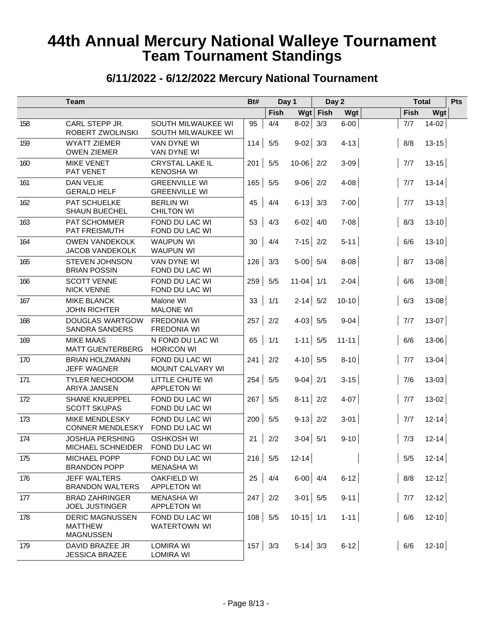|     | <b>Team</b>                                                  |                                              | Bt#       |                | Day 1       |            | Day 2     |             | <b>Total</b> | Pts |
|-----|--------------------------------------------------------------|----------------------------------------------|-----------|----------------|-------------|------------|-----------|-------------|--------------|-----|
|     |                                                              |                                              |           | <b>Fish</b>    |             | $Wgt$ Fish | Wgt       | Fish        | Wgt          |     |
| 158 | CARL STEPP JR.<br>ROBERT ZWOLINSKI                           | SOUTH MILWAUKEE WI<br>SOUTH MILWAUKEE WI     | 95        | 4/4            | $8-02$      | 3/3        | $6 - 00$  | 7/7         | $14-02$      |     |
| 159 | <b>WYATT ZIEMER</b><br><b>OWEN ZIEMER</b>                    | VAN DYNE WI<br>VAN DYNE WI                   | 114       | 5/5            | $9-02$ 3/3  |            | $4 - 13$  | 8/8         | $13 - 15$    |     |
| 160 | <b>MIKE VENET</b><br>PAT VENET                               | <b>CRYSTAL LAKE IL</b><br><b>KENOSHA WI</b>  | 201       | 5/5            | $10-06$ 2/2 |            | $3-09$    | 7/7         | $13 - 15$    |     |
| 161 | <b>DAN VELIE</b><br><b>GERALD HELF</b>                       | <b>GREENVILLE WI</b><br><b>GREENVILLE WI</b> | 165       | 5/5            | $9-06$ 2/2  |            | $4 - 08$  | 7/7         | $13 - 14$    |     |
| 162 | PAT SCHUELKE<br><b>SHAUN BUECHEL</b>                         | <b>BERLIN WI</b><br><b>CHILTON WI</b>        | 45        | 4/4            | $6-13$ 3/3  |            | $7-00$    | 7/7         | $13 - 13$    |     |
| 163 | PAT SCHOMMER<br>PAT FREISMUTH                                | FOND DU LAC WI<br>FOND DU LAC WI             | 53        | 4/3            | $6-02$ 4/0  |            | $7 - 08$  | 8/3         | $13 - 10$    |     |
| 164 | <b>OWEN VANDEKOLK</b><br><b>JACOB VANDEKOLK</b>              | <b>WAUPUN WI</b><br><b>WAUPUN WI</b>         | 30        | 4/4            | $7-15$ 2/2  |            | $5 - 11$  | 6/6         | $13 - 10$    |     |
| 165 | STEVEN JOHNSON<br><b>BRIAN POSSIN</b>                        | VAN DYNE WI<br>FOND DU LAC WI                | 126       | 3/3            | $5-00$ 5/4  |            | 8-08      | 8/7         | $13 - 08$    |     |
| 166 | <b>SCOTT VENNE</b><br><b>NICK VENNE</b>                      | FOND DU LAC WI<br>FOND DU LAC WI             | 259       | $5/5$          | $11-04$ 1/1 |            | $2 - 04$  | 6/6         | $13 - 08$    |     |
| 167 | <b>MIKE BLANCK</b><br><b>JOHN RICHTER</b>                    | Malone WI<br><b>MALONE WI</b>                | 33        | 1/1            | $2-14$ 5/2  |            | $10 - 10$ | 6/3         | $13 - 08$    |     |
| 168 | DOUGLAS WARTGOW<br><b>SANDRA SANDERS</b>                     | <b>FREDONIA WI</b><br><b>FREDONIA WI</b>     | 257       | $2/2$          | $4-03$ 5/5  |            | $9 - 04$  | 7/7         | $13-07$      |     |
| 169 | <b>MIKE MAAS</b><br><b>MATT GUENTERBERG</b>                  | N FOND DU LAC WI<br><b>HORICON WI</b>        | 65        | 1/1            | $1-11$ 5/5  |            | $11 - 11$ | 6/6         | $13 - 06$    |     |
| 170 | <b>BRIAN HOLZMANN</b><br><b>JEFF WAGNER</b>                  | FOND DU LAC WI<br>MOUNT CALVARY WI           | 241       | 2/2            | $4-10$ 5/5  |            | $8 - 10$  | 7/7         | $13 - 04$    |     |
| 171 | <b>TYLER NECHODOM</b><br>ARIYA JANSEN                        | LITTLE CHUTE WI<br><b>APPLETON WI</b>        | 254       | 5/5            | $9-04$ 2/1  |            | $3 - 15$  | 7/6         | $13 - 03$    |     |
| 172 | <b>SHANE KNUEPPEL</b><br><b>SCOTT SKUPAS</b>                 | FOND DU LAC WI<br>FOND DU LAC WI             | 267       | 5/5            | $8-11$ 2/2  |            | $4 - 07$  | 7/7         | $13-02$      |     |
| 173 | <b>MIKE MENDLESKY</b><br><b>CONNER MENDLESKY</b>             | FOND DU LAC WI<br>FOND DU LAC WI             | 200       | 5/5            | $9-13$ 2/2  |            | $3 - 01$  | 7/7         | $12 - 14$    |     |
| 174 | <b>JOSHUA PERSHING</b><br><b>MICHAEL SCHNEIDER</b>           | <b>OSHKOSH WI</b><br>FOND DU LAC WI          | 21        | 2/2            | $3-04$ 5/1  |            | $9 - 10$  | 7/3         | $12 - 14$    |     |
| 175 | MICHAEL POPP<br><b>BRANDON POPP</b>                          | FOND DU LAC WI<br><b>MENASHA WI</b>          | $216$ 5/5 |                | $12 - 14$   |            |           | $5/5$       | $12 - 14$    |     |
| 176 | <b>JEFF WALTERS</b><br><b>BRANDON WALTERS</b>                | OAKFIELD WI<br><b>APPLETON WI</b>            | 25        | 4/4            | $6-00$ 4/4  |            | $6-12$    | $8/8$       | $12 - 12$    |     |
| 177 | <b>BRAD ZAHRINGER</b><br>JOEL JUSTINGER                      | <b>MENASHA WI</b><br><b>APPLETON WI</b>      | 247       | 2/2            | $3-01$ 5/5  |            | $9-11$    | $\vert$ 7/7 | $12 - 12$    |     |
| 178 | <b>DERIC MAGNUSSEN</b><br><b>MATTHEW</b><br><b>MAGNUSSEN</b> | FOND DU LAC WI<br><b>WATERTOWN WI</b>        | 108       | 5/5            | $10-15$ 1/1 |            | $1 - 11$  | 6/6         | $12 - 10$    |     |
| 179 | DAVID BRAZEE JR<br><b>JESSICA BRAZEE</b>                     | <b>LOMIRA WI</b><br><b>LOMIRA WI</b>         |           | $157 \mid 3/3$ | $5-14$ 3/3  |            | $6-12$    | 6/6         | $12 - 10$    |     |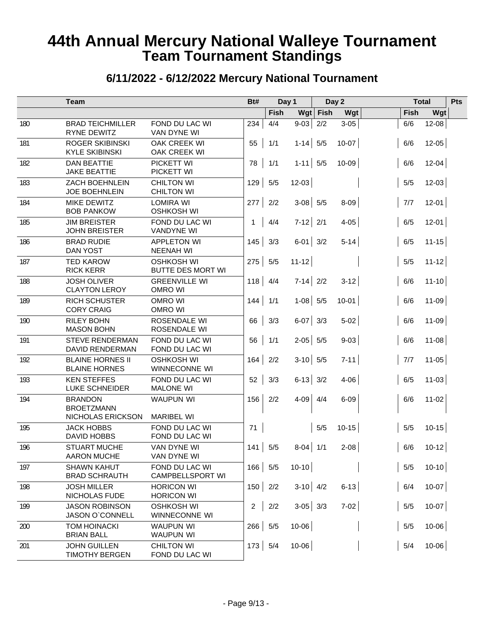|     | <b>Team</b>                                              |                                           | Bt#            |             | Day 1        |            | Day 2     |       | <b>Total</b> | Pts |
|-----|----------------------------------------------------------|-------------------------------------------|----------------|-------------|--------------|------------|-----------|-------|--------------|-----|
|     |                                                          |                                           |                | <b>Fish</b> |              | $Wgt$ Fish | Wgt       | Fish  | Wgt          |     |
| 180 | <b>BRAD TEICHMILLER</b><br><b>RYNE DEWITZ</b>            | FOND DU LAC WI<br>VAN DYNE WI             | 234            | 4/4         | $9-03$       | 2/2        | $3 - 05$  | 6/6   | $12 - 08$    |     |
| 181 | <b>ROGER SKIBINSKI</b><br><b>KYLE SKIBINSKI</b>          | OAK CREEK WI<br>OAK CREEK WI              | 55             | 1/1         | $1-14$ 5/5   |            | $10 - 07$ | 6/6   | $12 - 05$    |     |
| 182 | <b>DAN BEATTIE</b><br><b>JAKE BEATTIE</b>                | PICKETT WI<br><b>PICKETT WI</b>           | 78             | 1/1         | $1 - 11$ 5/5 |            | $10 - 09$ | 6/6   | $12 - 04$    |     |
| 183 | <b>ZACH BOEHNLEIN</b><br><b>JOE BOEHNLEIN</b>            | <b>CHILTON WI</b><br><b>CHILTON WI</b>    | 129            | 5/5         | $12-03$      |            |           | $5/5$ | $12 - 03$    |     |
| 184 | MIKE DEWITZ<br><b>BOB PANKOW</b>                         | <b>LOMIRA WI</b><br><b>OSHKOSH WI</b>     | 277            | 2/2         | $3-08$ 5/5   |            | $8 - 09$  | 7/7   | $12 - 01$    |     |
| 185 | <b>JIM BREISTER</b><br><b>JOHN BREISTER</b>              | FOND DU LAC WI<br><b>VANDYNE WI</b>       | 1              | 4/4         | $7-12$ 2/1   |            | $4 - 05$  | 6/5   | $12 - 01$    |     |
| 186 | <b>BRAD RUDIE</b><br><b>DAN YOST</b>                     | <b>APPLETON WI</b><br><b>NEENAH WI</b>    | 145            | 3/3         | $6-01$ 3/2   |            | $5 - 14$  | 6/5   | $11 - 15$    |     |
| 187 | <b>TED KAROW</b><br><b>RICK KERR</b>                     | <b>OSHKOSH WI</b><br>BUTTE DES MORT WI    | 275            | $5/5$       | $11 - 12$    |            |           | $5/5$ | $11 - 12$    |     |
| 188 | <b>JOSH OLIVER</b><br><b>CLAYTON LEROY</b>               | <b>GREENVILLE WI</b><br><b>OMRO WI</b>    | 118            | 4/4         | $7-14$ 2/2   |            | $3-12$    | 6/6   | $11 - 10$    |     |
| 189 | <b>RICH SCHUSTER</b><br><b>CORY CRAIG</b>                | <b>OMRO WI</b><br>OMRO WI                 | 144            | 1/1         | $1-08$ 5/5   |            | $10 - 01$ | 6/6   | $11 - 09$    |     |
| 190 | <b>RILEY BOHN</b><br><b>MASON BOHN</b>                   | ROSENDALE WI<br>ROSENDALE WI              | 66             | 3/3         | $6-07$ 3/3   |            | $5 - 02$  | 6/6   | $11 - 09$    |     |
| 191 | <b>STEVE RENDERMAN</b><br><b>DAVID RENDERMAN</b>         | FOND DU LAC WI<br>FOND DU LAC WI          | 56             | 1/1         | $2-05$ 5/5   |            | $9 - 03$  | 6/6   | $11 - 08$    |     |
| 192 | <b>BLAINE HORNES II</b><br><b>BLAINE HORNES</b>          | <b>OSHKOSH WI</b><br>WINNECONNE WI        | 164            | 2/2         | $3-10$ 5/5   |            | $7 - 11$  | 7/7   | $11 - 05$    |     |
| 193 | <b>KEN STEFFES</b><br>LUKE SCHNEIDER                     | FOND DU LAC WI<br><b>MALONE WI</b>        | 52             | 3/3         | $6-13$ 3/2   |            | $4 - 06$  | 6/5   | $11 - 03$    |     |
| 194 | <b>BRANDON</b><br><b>BROETZMANN</b><br>NICHOLAS ERICKSON | <b>WAUPUN WI</b><br><b>MARIBEL WI</b>     | 156            | 2/2         | $4 - 09$     | 4/4        | $6 - 09$  | 6/6   | $11 - 02$    |     |
| 195 | <b>JACK HOBBS</b><br><b>DAVID HOBBS</b>                  | FOND DU LAC WI<br>FOND DU LAC WI          | 71             |             |              | 5/5        | $10 - 15$ | $5/5$ | $10-15$      |     |
| 196 | <b>STUART MUCHE</b><br>AARON MUCHE                       | VAN DYNE WI<br>VAN DYNE WI                | 141            | 5/5         | $8-04$ 1/1   |            | $2 - 08$  | 6/6   | $10-12$      |     |
| 197 | <b>SHAWN KAHUT</b><br><b>BRAD SCHRAUTH</b>               | FOND DU LAC WI<br><b>CAMPBELLSPORT WI</b> | $166$ 5/5      |             | $10-10$      |            |           | $5/5$ | $10-10$      |     |
| 198 | <b>JOSH MILLER</b><br>NICHOLAS FUDE                      | <b>HORICON WI</b><br><b>HORICON WI</b>    | 150            | 2/2         | $3-10$ 4/2   |            | $6-13$    | 6/4   | $10-07$      |     |
| 199 | <b>JASON ROBINSON</b><br>JASON O'CONNELL                 | <b>OSHKOSH WI</b><br>WINNECONNE WI        | $\overline{2}$ | $2/2$       | $3-05$ 3/3   |            | $7-02$    | $5/5$ | $10-07$      |     |
| 200 | <b>TOM HOINACKI</b><br><b>BRIAN BALL</b>                 | <b>WAUPUN WI</b><br>WAUPUN WI             | 266            | 5/5         | 10-06        |            |           | $5/5$ | $10 - 06$    |     |
| 201 | <b>JOHN GUILLEN</b><br><b>TIMOTHY BERGEN</b>             | <b>CHILTON WI</b><br>FOND DU LAC WI       | 173            | 5/4         | $10 - 06$    |            |           | 5/4   | $10 - 06$    |     |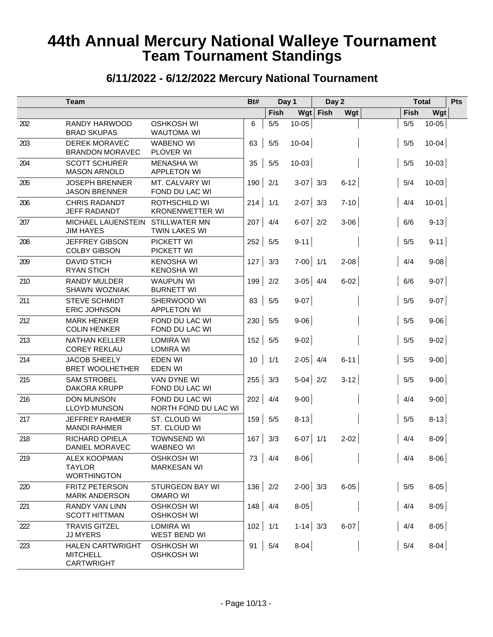|     | <b>Team</b>                                                     |                                                | Bt# |       | Day 1        | Day 2 |          |       | <b>Total</b> | Pts |
|-----|-----------------------------------------------------------------|------------------------------------------------|-----|-------|--------------|-------|----------|-------|--------------|-----|
|     |                                                                 |                                                |     | Fish  | Wgt          | Fish  | Wgt      |       | Fish         | Wgt |
| 202 | RANDY HARWOOD<br><b>BRAD SKUPAS</b>                             | <b>OSHKOSH WI</b><br><b>WAUTOMA WI</b>         | 6   | $5/5$ | $10 - 05$    |       |          | 5/5   | $10 - 05$    |     |
| 203 | <b>DEREK MORAVEC</b><br><b>BRANDON MORAVEC</b>                  | <b>WABENO WI</b><br>PLOVER WI                  | 63  | 5/5   | $10 - 04$    |       |          | $5/5$ | $10 - 04$    |     |
| 204 | <b>SCOTT SCHURER</b><br><b>MASON ARNOLD</b>                     | <b>MENASHA WI</b><br><b>APPLETON WI</b>        | 35  | 5/5   | $10-03$      |       |          | 5/5   | $10-03$      |     |
| 205 | <b>JOSEPH BRENNER</b><br><b>JASON BRENNER</b>                   | MT. CALVARY WI<br>FOND DU LAC WI               | 190 | 2/1   | $3-07$ 3/3   |       | $6 - 12$ | 5/4   | $10-03$      |     |
| 206 | <b>CHRIS RADANDT</b><br><b>JEFF RADANDT</b>                     | <b>ROTHSCHILD WI</b><br><b>KRONENWETTER WI</b> | 214 | 1/1   | $2-07$ 3/3   |       | $7-10$   | 4/4   | $10-01$      |     |
| 207 | MICHAEL LAUENSTEIN<br><b>JIM HAYES</b>                          | <b>STILLWATER MN</b><br><b>TWIN LAKES WI</b>   | 207 | 4/4   | $6-07$ 2/2   |       | $3 - 06$ | 6/6   | $9-13$       |     |
| 208 | <b>JEFFREY GIBSON</b><br><b>COLBY GIBSON</b>                    | PICKETT WI<br>PICKETT WI                       | 252 | 5/5   | $9 - 11$     |       |          | 5/5   | $9 - 11$     |     |
| 209 | <b>DAVID STICH</b><br><b>RYAN STICH</b>                         | <b>KENOSHA WI</b><br><b>KENOSHA WI</b>         | 127 | 3/3   | $7-00$ 1/1   |       | $2 - 08$ | 4/4   | $9 - 08$     |     |
| 210 | <b>RANDY MULDER</b><br>SHAWN WOZNIAK                            | <b>WAUPUN WI</b><br><b>BURNETT WI</b>          | 199 | 2/2   | $3-05$ 4/4   |       | $6 - 02$ | 6/6   | $9-07$       |     |
| 211 | <b>STEVE SCHMIDT</b><br><b>ERIC JOHNSON</b>                     | SHERWOOD WI<br><b>APPLETON WI</b>              | 83  | 5/5   | $9-07$       |       |          | $5/5$ | $9 - 07$     |     |
| 212 | <b>MARK HENKER</b><br><b>COLIN HENKER</b>                       | FOND DU LAC WI<br>FOND DU LAC WI               | 230 | 5/5   | $9 - 06$     |       |          | 5/5   | $9 - 06$     |     |
| 213 | <b>NATHAN KELLER</b><br><b>COREY REKLAU</b>                     | <b>LOMIRA WI</b><br><b>LOMIRA WI</b>           | 152 | 5/5   | $9 - 02$     |       |          | $5/5$ | $9-02$       |     |
| 214 | <b>JACOB SHEELY</b><br><b>BRET WOOLHETHER</b>                   | <b>EDEN WI</b><br><b>EDEN WI</b>               | 10  | 1/1   | $2-05$ 4/4   |       | $6 - 11$ | $5/5$ | $9-00$       |     |
| 215 | <b>SAM STROBEL</b><br>DAKORA KRUPP                              | <b>VAN DYNE WI</b><br>FOND DU LAC WI           | 255 | 3/3   | $5-04$ 2/2   |       | $3-12$   | $5/5$ | $9-00$       |     |
| 216 | <b>DON MUNSON</b><br><b>LLOYD MUNSON</b>                        | FOND DU LAC WI<br>NORTH FOND DU LAC WI         | 202 | 4/4   | $9-00$       |       |          | 4/4   | $9-00$       |     |
| 217 | <b>JEFFREY RAHMER</b><br><b>MANDI RAHMER</b>                    | ST. CLOUD WI<br>ST. CLOUD WI                   | 159 | 5/5   | $8-13$       |       |          | $5/5$ | $8-13$       |     |
| 218 | <b>RICHARD OPIELA</b><br>DANIEL MORAVEC                         | <b>TOWNSEND WI</b><br><b>WABNEO WI</b>         | 167 | 3/3   | $6-07$ 1/1   |       | $2 - 02$ | 4/4   | $8 - 09$     |     |
| 219 | <b>ALEX KOOPMAN</b><br><b>TAYLOR</b><br><b>WORTHINGTON</b>      | <b>OSHKOSH WI</b><br><b>MARKESAN WI</b>        | 73  | 4/4   | $8 - 06$     |       |          | 4/4   | $8 - 06$     |     |
| 220 | FRITZ PETERSON<br><b>MARK ANDERSON</b>                          | <b>STURGEON BAY WI</b><br><b>OMARO WI</b>      | 136 | 2/2   | $2-00$ 3/3   |       | $6-05$   | $5/5$ | $8-05$       |     |
| 221 | <b>RANDY VAN LINN</b><br><b>SCOTT HITTMAN</b>                   | <b>OSHKOSH WI</b><br><b>OSHKOSH WI</b>         | 148 | 4/4   | $8-05$       |       |          | 4/4   | $8-05$       |     |
| 222 | <b>TRAVIS GITZEL</b><br><b>JJ MYERS</b>                         | <b>LOMIRA WI</b><br>WEST BEND WI               | 102 | 1/1   | $1 - 14$ 3/3 |       | $6-07$   | 4/4   | $8-05$       |     |
| 223 | <b>HALEN CARTWRIGHT</b><br><b>MITCHELL</b><br><b>CARTWRIGHT</b> | <b>OSHKOSH WI</b><br><b>OSHKOSH WI</b>         | 91  | 5/4   | $8-04$       |       |          | 5/4   | $8-04$       |     |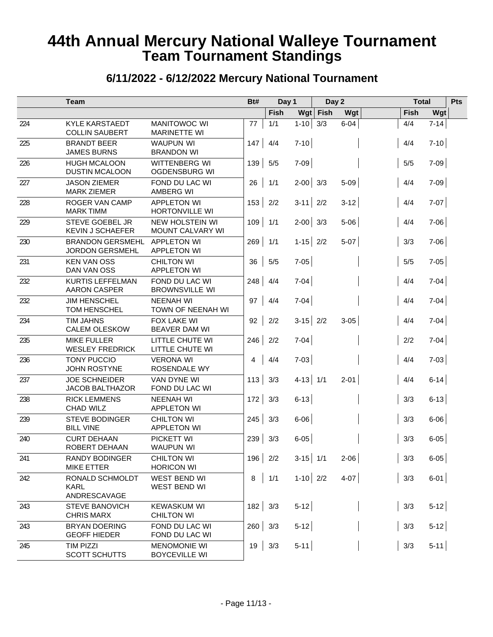|     | <b>Team</b>                                       |                                             | Bt# | Day 1       |              | Day 2 |          |      | <b>Total</b> | Pts |
|-----|---------------------------------------------------|---------------------------------------------|-----|-------------|--------------|-------|----------|------|--------------|-----|
|     |                                                   |                                             |     | <b>Fish</b> | Wgt          | Fish  | Wgt      | Fish | Wgt          |     |
| 224 | <b>KYLE KARSTAEDT</b><br><b>COLLIN SAUBERT</b>    | <b>MANITOWOC WI</b><br><b>MARINETTE WI</b>  | 77  | 1/1         | $1 - 10$     | 3/3   | $6 - 04$ | 4/4  | $7 - 14$     |     |
| 225 | <b>BRANDT BEER</b><br><b>JAMES BURNS</b>          | <b>WAUPUN WI</b><br><b>BRANDON WI</b>       | 147 | 4/4         | $7-10$       |       |          | 4/4  | $7-10$       |     |
| 226 | <b>HUGH MCALOON</b><br><b>DUSTIN MCALOON</b>      | WITTENBERG WI<br><b>OGDENSBURG WI</b>       | 139 | 5/5         | $7 - 09$     |       |          | 5/5  | $7-09$       |     |
| 227 | <b>JASON ZIEMER</b><br><b>MARK ZIEMER</b>         | FOND DU LAC WI<br><b>AMBERG WI</b>          | 26  | 1/1         | $2-00$ 3/3   |       | $5-09$   | 4/4  | $7-09$       |     |
| 228 | <b>ROGER VAN CAMP</b><br><b>MARK TIMM</b>         | <b>APPLETON WI</b><br>HORTONVILLE WI        | 153 | 2/2         | $3-11$ 2/2   |       | $3 - 12$ | 4/4  | $7 - 07$     |     |
| 229 | STEVE GOEBEL JR<br><b>KEVIN J SCHAEFER</b>        | <b>NEW HOLSTEIN WI</b><br>MOUNT CALVARY WI  | 109 | 1/1         | $2-00$ 3/3   |       | $5 - 06$ | 4/4  | $7 - 06$     |     |
| 230 | <b>BRANDON GERSMEHL</b><br><b>JORDON GERSMEHL</b> | <b>APPLETON WI</b><br><b>APPLETON WI</b>    | 269 | 1/1         | $1-15$ 2/2   |       | $5-07$   | 3/3  | $7-06$       |     |
| 231 | <b>KEN VAN OSS</b><br>DAN VAN OSS                 | <b>CHILTON WI</b><br><b>APPLETON WI</b>     | 36  | 5/5         | $7 - 05$     |       |          | 5/5  | $7-05$       |     |
| 232 | <b>KURTIS LEFFELMAN</b><br><b>AARON CASPER</b>    | FOND DU LAC WI<br><b>BROWNSVILLE WI</b>     | 248 | 4/4         | $7-04$       |       |          | 4/4  | $7-04$       |     |
| 232 | <b>JIM HENSCHEL</b><br><b>TOM HENSCHEL</b>        | <b>NEENAH WI</b><br>TOWN OF NEENAH WI       | 97  | 4/4         | $7-04$       |       |          | 4/4  | $7-04$       |     |
| 234 | <b>TIM JAHNS</b><br><b>CALEM OLESKOW</b>          | FOX LAKE WI<br>BEAVER DAM WI                | 92  | 2/2         | $3-15$ 2/2   |       | $3 - 05$ | 4/4  | $7-04$       |     |
| 235 | <b>MIKE FULLER</b><br><b>WESLEY FREDRICK</b>      | LITTLE CHUTE WI<br>LITTLE CHUTE WI          | 246 | 2/2         | $7-04$       |       |          | 2/2  | $7-04$       |     |
| 236 | <b>TONY PUCCIO</b><br><b>JOHN ROSTYNE</b>         | <b>VERONA WI</b><br>ROSENDALE WY            | 4   | 4/4         | $7-03$       |       |          | 4/4  | $7-03$       |     |
| 237 | <b>JOE SCHNEIDER</b><br><b>JACOB BALTHAZOR</b>    | VAN DYNE WI<br>FOND DU LAC WI               | 113 | 3/3         | $4 - 13$ 1/1 |       | $2 - 01$ | 4/4  | $6-14$       |     |
| 238 | <b>RICK LEMMENS</b><br><b>CHAD WILZ</b>           | <b>NEENAH WI</b><br><b>APPLETON WI</b>      | 172 | 3/3         | $6 - 13$     |       |          | 3/3  | $6-13$       |     |
| 239 | <b>STEVE BODINGER</b><br><b>BILL VINE</b>         | <b>CHILTON WI</b><br><b>APPLETON WI</b>     | 245 | 3/3         | $6 - 06$     |       |          | 3/3  | $6 - 06$     |     |
| 240 | <b>CURT DEHAAN</b><br>ROBERT DEHAAN               | PICKETT WI<br><b>WAUPUN WI</b>              | 239 | 3/3         | $6 - 05$     |       |          | 3/3  | $6 - 05$     |     |
| 241 | RANDY BODINGER<br><b>MIKE ETTER</b>               | <b>CHILTON WI</b><br><b>HORICON WI</b>      | 196 | 2/2         | $3-15$ 1/1   |       | $2 - 06$ | 3/3  | $6 - 05$     |     |
| 242 | RONALD SCHMOLDT<br><b>KARL</b><br>ANDRESCAVAGE    | WEST BEND WI<br>WEST BEND WI                | 8   | 1/1         | $1-10$ 2/2   |       | $4-07$   | 3/3  | $6-01$       |     |
| 243 | <b>STEVE BANOVICH</b><br><b>CHRIS MARX</b>        | <b>KEWASKUM WI</b><br><b>CHILTON WI</b>     | 182 | 3/3         | $5-12$       |       |          | 3/3  | $5-12$       |     |
| 243 | <b>BRYAN DOERING</b><br><b>GEOFF HIEDER</b>       | FOND DU LAC WI<br>FOND DU LAC WI            | 260 | 3/3         | $5-12$       |       |          | 3/3  | $5-12$       |     |
| 245 | <b>TIM PIZZI</b><br><b>SCOTT SCHUTTS</b>          | <b>MENOMONIE WI</b><br><b>BOYCEVILLE WI</b> | 19  | 3/3         | $5-11$       |       |          | 3/3  | $5-11$       |     |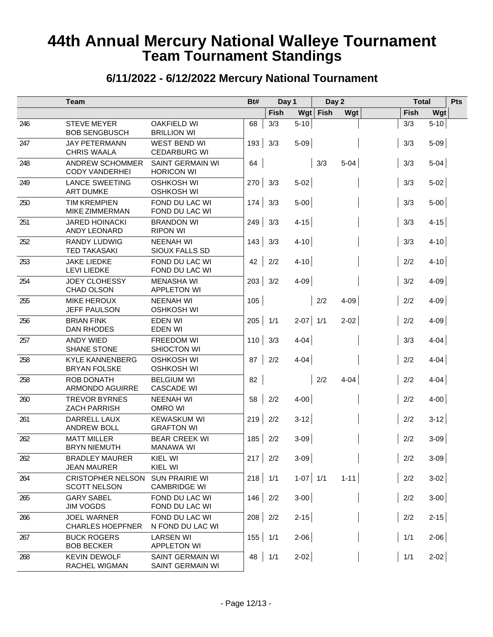|     | <b>Team</b>                                     |                                          | Bt# | Day 1       |            | Day 2 |          |      | <b>Total</b> | Pts |
|-----|-------------------------------------------------|------------------------------------------|-----|-------------|------------|-------|----------|------|--------------|-----|
|     |                                                 |                                          |     | <b>Fish</b> | Wgt        | Fish  | Wgt      | Fish | Wgt          |     |
| 246 | <b>STEVE MEYER</b><br><b>BOB SENGBUSCH</b>      | <b>OAKFIELD WI</b><br><b>BRILLION WI</b> | 68  | 3/3         | $5-10$     |       |          | 3/3  | $5 - 10$     |     |
| 247 | <b>JAY PETERMANN</b><br><b>CHRIS WAALA</b>      | WEST BEND WI<br><b>CEDARBURG WI</b>      | 193 | 3/3         | $5-09$     |       |          | 3/3  | $5-09$       |     |
| 248 | <b>ANDREW SCHOMMER</b><br><b>CODY VANDERHEI</b> | SAINT GERMAIN WI<br><b>HORICON WI</b>    | 64  |             |            | 3/3   | $5-04$   | 3/3  | $5-04$       |     |
| 249 | <b>LANCE SWEETING</b><br><b>ART DUMKE</b>       | <b>OSHKOSH WI</b><br><b>OSHKOSH WI</b>   | 270 | 3/3         | $5-02$     |       |          | 3/3  | $5-02$       |     |
| 250 | <b>TIM KREMPIEN</b><br><b>MIKE ZIMMERMAN</b>    | FOND DU LAC WI<br>FOND DU LAC WI         | 174 | 3/3         | $5-00$     |       |          | 3/3  | $5-00$       |     |
| 251 | <b>JARED HOINACKI</b><br>ANDY LEONARD           | <b>BRANDON WI</b><br><b>RIPON WI</b>     | 249 | 3/3         | $4 - 15$   |       |          | 3/3  | $4 - 15$     |     |
| 252 | <b>RANDY LUDWIG</b><br><b>TED TAKASAKI</b>      | <b>NEENAH WI</b><br>SIOUX FALLS SD       | 143 | 3/3         | $4 - 10$   |       |          | 3/3  | $4 - 10$     |     |
| 253 | <b>JAKE LIEDKE</b><br><b>LEVI LIEDKE</b>        | FOND DU LAC WI<br>FOND DU LAC WI         | 42  | 2/2         | $4 - 10$   |       |          | 2/2  | $4 - 10$     |     |
| 254 | <b>JOEY CLOHESSY</b><br>CHAD OLSON              | <b>MENASHA WI</b><br><b>APPLETON WI</b>  | 203 | 3/2         | 4-09       |       |          | 3/2  | 4-09         |     |
| 255 | <b>MIKE HEROUX</b><br><b>JEFF PAULSON</b>       | <b>NEENAH WI</b><br><b>OSHKOSH WI</b>    | 105 |             |            | 2/2   | $4 - 09$ | 2/2  | $4-09$       |     |
| 256 | <b>BRIAN FINK</b><br>DAN RHODES                 | EDEN WI<br><b>EDEN WI</b>                | 205 | 1/1         | $2-07$ 1/1 |       | $2 - 02$ | 2/2  | 4-09         |     |
| 257 | <b>ANDY WIED</b><br><b>SHANE STONE</b>          | FREEDOM WI<br>SHIOCTON WI                | 110 | 3/3         | $4 - 04$   |       |          | 3/3  | $4-04$       |     |
| 258 | <b>KYLE KANNENBERG</b><br><b>BRYAN FOLSKE</b>   | <b>OSHKOSH WI</b><br><b>OSHKOSH WI</b>   | 87  | 2/2         | $4 - 04$   |       |          | 2/2  | $4-04$       |     |
| 258 | ROB DONATH<br>ARMONDO AGUIRRE                   | <b>BELGIUM WI</b><br><b>CASCADE WI</b>   | 82  |             |            | 2/2   | $4-04$   | 2/2  | $4-04$       |     |
| 260 | <b>TREVOR BYRNES</b><br><b>ZACH PARRISH</b>     | <b>NEENAH WI</b><br>OMRO WI              | 58  | 2/2         | $4 - 00$   |       |          | 2/2  | $4-00$       |     |
| 261 | DARRELL LAUX<br>ANDREW BOLL                     | <b>KEWASKUM WI</b><br><b>GRAFTON WI</b>  | 219 | 2/2         | $3-12$     |       |          | 2/2  | $3-12$       |     |
| 262 | <b>MATT MILLER</b><br><b>BRYN NIEMUTH</b>       | <b>BEAR CREEK WI</b><br>MANAWA WI        | 185 | 2/2         | $3-09$     |       |          | 2/2  | $3 - 09$     |     |
| 262 | <b>BRADLEY MAURER</b><br><b>JEAN MAURER</b>     | KIEL WI<br>KIEL WI                       | 217 | 2/2         | $3-09$     |       |          | 2/2  | $3-09$       |     |
| 264 | <b>CRISTOPHER NELSON</b><br><b>SCOTT NELSON</b> | SUN PRAIRIE WI<br><b>CAMBRIDGE WI</b>    | 218 | 1/1         | $1-07$ 1/1 |       | $1 - 11$ | 2/2  | $3-02$       |     |
| 265 | <b>GARY SABEL</b><br><b>JIM VOGDS</b>           | FOND DU LAC WI<br>FOND DU LAC WI         | 146 | 2/2         | $3-00$     |       |          | 2/2  | $3-00$       |     |
| 266 | <b>JOEL WARNER</b><br><b>CHARLES HOEPFNER</b>   | FOND DU LAC WI<br>N FOND DU LAC WI       | 208 | 2/2         | $2 - 15$   |       |          | 2/2  | $2 - 15$     |     |
| 267 | <b>BUCK ROGERS</b><br><b>BOB BECKER</b>         | <b>LARSEN WI</b><br><b>APPLETON WI</b>   | 155 | 1/1         | $2 - 06$   |       |          | 1/1  | $2 - 06$     |     |
| 268 | <b>KEVIN DEWOLF</b><br>RACHEL WIGMAN            | SAINT GERMAIN WI<br>SAINT GERMAIN WI     | 48  | 1/1         | $2 - 02$   |       |          | 1/1  | $2 - 02$     |     |